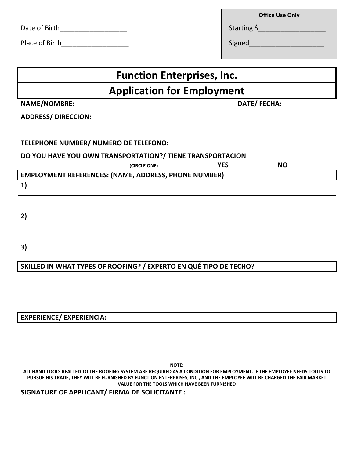| Starting \$ |
|-------------|
|             |

Place of Birth\_\_\_\_\_\_\_\_\_\_\_\_\_\_\_\_\_\_ Signed\_\_\_\_\_\_\_\_\_\_\_\_\_\_\_\_\_\_\_\_

| <b>Office Use Only</b> |  |  |
|------------------------|--|--|
|                        |  |  |

| <b>Function Enterprises, Inc.</b>                                                                                                                                                                                                                                                                                    |  |  |  |  |
|----------------------------------------------------------------------------------------------------------------------------------------------------------------------------------------------------------------------------------------------------------------------------------------------------------------------|--|--|--|--|
| <b>Application for Employment</b>                                                                                                                                                                                                                                                                                    |  |  |  |  |
| <b>NAME/NOMBRE:</b><br>DATE/FECHA:                                                                                                                                                                                                                                                                                   |  |  |  |  |
| <b>ADDRESS/ DIRECCION:</b>                                                                                                                                                                                                                                                                                           |  |  |  |  |
|                                                                                                                                                                                                                                                                                                                      |  |  |  |  |
| TELEPHONE NUMBER/ NUMERO DE TELEFONO:                                                                                                                                                                                                                                                                                |  |  |  |  |
| DO YOU HAVE YOU OWN TRANSPORTATION?/ TIENE TRANSPORTACION                                                                                                                                                                                                                                                            |  |  |  |  |
| <b>YES</b><br><b>NO</b><br>(CIRCLE ONE)                                                                                                                                                                                                                                                                              |  |  |  |  |
| <b>EMPLOYMENT REFERENCES: (NAME, ADDRESS, PHONE NUMBER)</b>                                                                                                                                                                                                                                                          |  |  |  |  |
| 1)                                                                                                                                                                                                                                                                                                                   |  |  |  |  |
|                                                                                                                                                                                                                                                                                                                      |  |  |  |  |
| 2)                                                                                                                                                                                                                                                                                                                   |  |  |  |  |
|                                                                                                                                                                                                                                                                                                                      |  |  |  |  |
| 3)                                                                                                                                                                                                                                                                                                                   |  |  |  |  |
| SKILLED IN WHAT TYPES OF ROOFING? / EXPERTO EN QUÉ TIPO DE TECHO?                                                                                                                                                                                                                                                    |  |  |  |  |
|                                                                                                                                                                                                                                                                                                                      |  |  |  |  |
|                                                                                                                                                                                                                                                                                                                      |  |  |  |  |
|                                                                                                                                                                                                                                                                                                                      |  |  |  |  |
| <b>EXPERIENCE/ EXPERIENCIA:</b>                                                                                                                                                                                                                                                                                      |  |  |  |  |
|                                                                                                                                                                                                                                                                                                                      |  |  |  |  |
|                                                                                                                                                                                                                                                                                                                      |  |  |  |  |
|                                                                                                                                                                                                                                                                                                                      |  |  |  |  |
| <b>NOTE:</b><br>ALL HAND TOOLS REALTED TO THE ROOFING SYSTEM ARE REQUIRED AS A CONDITION FOR EMPLOYMENT. IF THE EMPLOYEE NEEDS TOOLS TO<br>PURSUE HIS TRADE, THEY WILL BE FURNISHED BY FUNCTION ENTERPRISES, INC., AND THE EMPLOYEE WILL BE CHARGED THE FAIR MARKET<br>VALUE FOR THE TOOLS WHICH HAVE BEEN FURNISHED |  |  |  |  |
| SIGNATURE OF APPLICANT/ FIRMA DE SOLICITANTE :                                                                                                                                                                                                                                                                       |  |  |  |  |